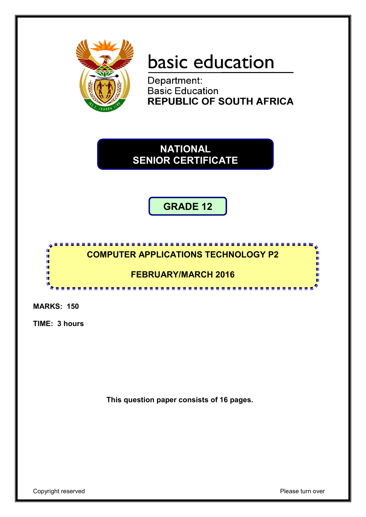

# basic education

Department: **Basic Education REPUBLIC OF SOUTH AFRICA** 

**NATIONAL SENIOR CERTIFICATE**

**GRADE 12**



**MARKS: 150**

**TIME: 3 hours** 

**This question paper consists of 16 pages.**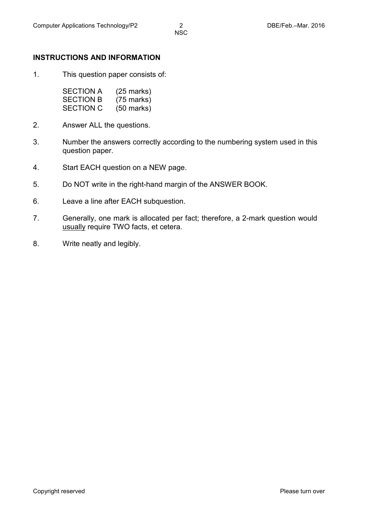#### **INSTRUCTIONS AND INFORMATION**

1. This question paper consists of:

| <b>SECTION A</b> | $(25 \text{ marks})$ |
|------------------|----------------------|
| <b>SECTION B</b> | $(75 \text{ marks})$ |
| <b>SECTION C</b> | $(50 \text{ marks})$ |

- 2. Answer ALL the questions.
- 3. Number the answers correctly according to the numbering system used in this question paper.
- 4. Start EACH question on a NEW page.
- 5. Do NOT write in the right-hand margin of the ANSWER BOOK.
- 6. Leave a line after EACH subquestion.
- 7. Generally, one mark is allocated per fact; therefore, a 2-mark question would usually require TWO facts, et cetera.
- 8. Write neatly and legibly.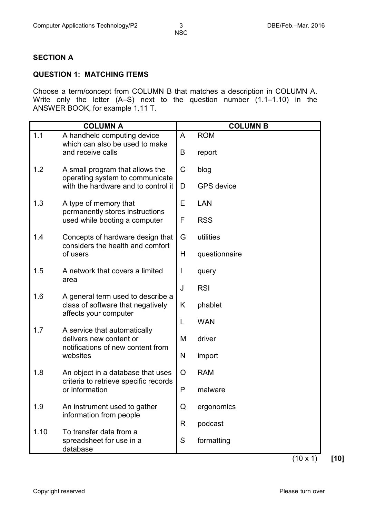#### **SECTION A**

#### **QUESTION 1: MATCHING ITEMS**

Choose a term/concept from COLUMN B that matches a description in COLUMN A. Write only the letter (A–S) next to the question number (1.1–1.10) in the ANSWER BOOK, for example 1.11 T.

|      | <b>COLUMN A</b>                                                                                                                                                                                         |              | <b>COLUMN B</b>      |
|------|---------------------------------------------------------------------------------------------------------------------------------------------------------------------------------------------------------|--------------|----------------------|
| 1.1  | A handheld computing device<br>which can also be used to make<br>and receive calls                                                                                                                      | A<br>B       | <b>ROM</b><br>report |
| 1.2  | A small program that allows the<br>operating system to communicate                                                                                                                                      | $\mathsf C$  | blog                 |
|      | with the hardware and to control it                                                                                                                                                                     | D            | <b>GPS</b> device    |
| 1.3  | A type of memory that<br>permanently stores instructions                                                                                                                                                | Е            | <b>LAN</b>           |
|      | used while booting a computer                                                                                                                                                                           | F            | <b>RSS</b>           |
| 1.4  | Concepts of hardware design that<br>considers the health and comfort                                                                                                                                    | G            | utilities            |
|      | of users                                                                                                                                                                                                | H            | questionnaire        |
| 1.5  | A network that covers a limited                                                                                                                                                                         | J            | query                |
| 1.6  | area<br>A general term used to describe a<br>class of software that negatively<br>affects your computer<br>A service that automatically<br>delivers new content or<br>notifications of new content from | J            | <b>RSI</b>           |
|      |                                                                                                                                                                                                         | K            | phablet              |
| 1.7  |                                                                                                                                                                                                         | L            | <b>WAN</b>           |
|      |                                                                                                                                                                                                         | M            | driver               |
|      | websites                                                                                                                                                                                                |              | import               |
| 1.8  | An object in a database that uses<br>criteria to retrieve specific records<br>or information                                                                                                            | O            | <b>RAM</b>           |
|      |                                                                                                                                                                                                         | $\mathsf{P}$ | malware              |
| 1.9  | An instrument used to gather                                                                                                                                                                            | Q            | ergonomics           |
|      | information from people                                                                                                                                                                                 | R            | podcast              |
| 1.10 | To transfer data from a<br>spreadsheet for use in a<br>database                                                                                                                                         | S            | formatting           |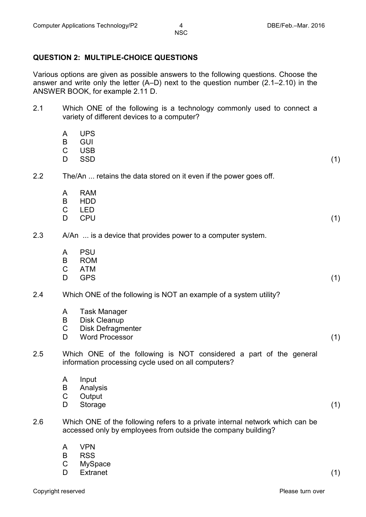#### **QUESTION 2: MULTIPLE-CHOICE QUESTIONS**

Various options are given as possible answers to the following questions. Choose the answer and write only the letter (A–D) next to the question number (2.1–2.10) in the ANSWER BOOK, for example 2.11 D.

| 2.1 | Which ONE of the following is a technology commonly used to connect a<br>variety of different devices to a computer? |                                                                                                                                               |     |
|-----|----------------------------------------------------------------------------------------------------------------------|-----------------------------------------------------------------------------------------------------------------------------------------------|-----|
|     | A<br>B<br>C<br>D                                                                                                     | <b>UPS</b><br><b>GUI</b><br><b>USB</b><br><b>SSD</b>                                                                                          | (1) |
| 2.2 |                                                                                                                      | The/An  retains the data stored on it even if the power goes off.                                                                             |     |
|     | A<br>B<br>C<br>D                                                                                                     | <b>RAM</b><br><b>HDD</b><br><b>LED</b><br><b>CPU</b>                                                                                          | (1) |
| 2.3 |                                                                                                                      | A/An  is a device that provides power to a computer system.                                                                                   |     |
|     | A<br>B<br>C<br>D                                                                                                     | <b>PSU</b><br><b>ROM</b><br><b>ATM</b><br><b>GPS</b>                                                                                          | (1) |
| 2.4 |                                                                                                                      | Which ONE of the following is NOT an example of a system utility?                                                                             |     |
|     | A<br>B<br>$\mathsf C$<br>D                                                                                           | <b>Task Manager</b><br><b>Disk Cleanup</b><br><b>Disk Defragmenter</b><br><b>Word Processor</b>                                               | (1) |
| 2.5 |                                                                                                                      | Which ONE of the following is NOT considered a part of the general<br>information processing cycle used on all computers?                     |     |
|     | B<br>$\mathsf C$<br>D                                                                                                | A Input<br>Analysis<br>Output<br>Storage                                                                                                      | (1) |
| 2.6 |                                                                                                                      | Which ONE of the following refers to a private internal network which can be<br>accessed only by employees from outside the company building? |     |
|     | A<br>R                                                                                                               | <b>VPN</b><br>DCC                                                                                                                             |     |

- B RSS
- C MySpace
- D Extranet (1)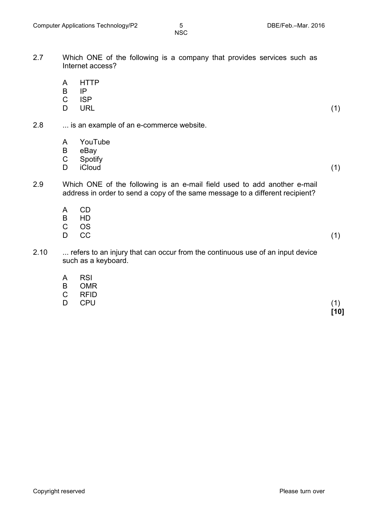- 2.7 Which ONE of the following is a company that provides services such as Internet access?
	- A **HTTP**
	- B IP
	- $\mathcal{C}$ ISP
	- D  $\mathsf{URL} \tag{1}$
- 2.8 ... is an example of an e-commerce website.
	- A YouTube
	- B eBay
	- C
	- D Spotify<br>iCloud iCloud (1)

- 2.9 Which ONE of the following is an e-mail field used to add another e-mail address in order to send a copy of the same message to a different recipient?
	- A B  $\mathcal{C}$ CD HD
	- D OS  $CC$  (1)
- 2.10 ... refers to an injury that can occur from the continuous use of an input device such as a keyboard.
	- A **RSI**
	- B OMR
	- C RFID
	- D. CPU (1)

**[10]**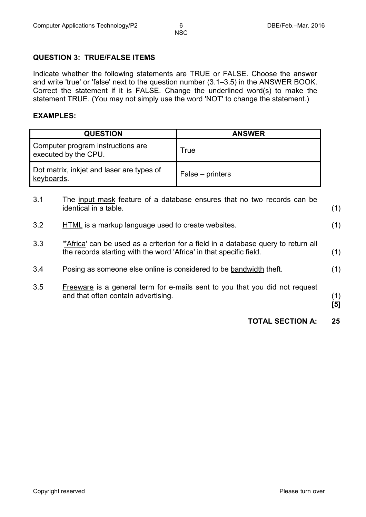#### **QUESTION 3: TRUE/FALSE ITEMS**

Indicate whether the following statements are TRUE or FALSE. Choose the answer and write 'true' or 'false' next to the question number (3.1–3.5) in the ANSWER BOOK. Correct the statement if it is FALSE. Change the underlined word(s) to make the statement TRUE. (You may not simply use the word 'NOT' to change the statement.)

#### **EXAMPLES:**

| <b>QUESTION</b>                                           | <b>ANSWER</b>    |
|-----------------------------------------------------------|------------------|
| Computer program instructions are<br>executed by the CPU. | <b>True</b>      |
| Dot matrix, inkjet and laser are types of<br>keyboards.   | False – printers |

|     | <b>TOTAL SECTION A:</b>                                                                                                                                  | 25         |
|-----|----------------------------------------------------------------------------------------------------------------------------------------------------------|------------|
| 3.5 | Freeware is a general term for e-mails sent to you that you did not request<br>and that often contain advertising.                                       | (1)<br>[5] |
| 3.4 | Posing as someone else online is considered to be bandwidth theft.                                                                                       | (1)        |
| 3.3 | "Africa' can be used as a criterion for a field in a database query to return all<br>the records starting with the word 'Africa' in that specific field. | (1)        |
| 3.2 | HTML is a markup language used to create websites.                                                                                                       | (1)        |
| 3.1 | The input mask feature of a database ensures that no two records can be<br>identical in a table.                                                         | (1)        |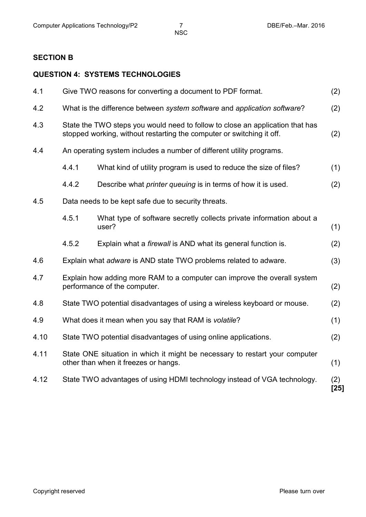## **SECTION B**

### **QUESTION 4: SYSTEMS TECHNOLOGIES**

| 4.1  |                                                                                                                                                               | Give TWO reasons for converting a document to PDF format.                                                           | (2)           |
|------|---------------------------------------------------------------------------------------------------------------------------------------------------------------|---------------------------------------------------------------------------------------------------------------------|---------------|
| 4.2  | What is the difference between system software and application software?<br>(2)                                                                               |                                                                                                                     |               |
| 4.3  | State the TWO steps you would need to follow to close an application that has<br>stopped working, without restarting the computer or switching it off.<br>(2) |                                                                                                                     |               |
| 4.4  |                                                                                                                                                               | An operating system includes a number of different utility programs.                                                |               |
|      | 4.4.1                                                                                                                                                         | What kind of utility program is used to reduce the size of files?                                                   | (1)           |
|      | 4.4.2                                                                                                                                                         | Describe what <i>printer queuing</i> is in terms of how it is used.                                                 | (2)           |
| 4.5  |                                                                                                                                                               | Data needs to be kept safe due to security threats.                                                                 |               |
|      | 4.5.1                                                                                                                                                         | What type of software secretly collects private information about a<br>user?                                        | (1)           |
|      | 4.5.2                                                                                                                                                         | Explain what a <i>firewall</i> is AND what its general function is.                                                 | (2)           |
| 4.6  |                                                                                                                                                               | Explain what <i>adware</i> is AND state TWO problems related to adware.                                             | (3)           |
| 4.7  | Explain how adding more RAM to a computer can improve the overall system<br>performance of the computer.<br>(2)                                               |                                                                                                                     |               |
| 4.8  | State TWO potential disadvantages of using a wireless keyboard or mouse.                                                                                      |                                                                                                                     | (2)           |
| 4.9  | What does it mean when you say that RAM is volatile?<br>(1)                                                                                                   |                                                                                                                     |               |
| 4.10 |                                                                                                                                                               | State TWO potential disadvantages of using online applications.                                                     | (2)           |
| 4.11 |                                                                                                                                                               | State ONE situation in which it might be necessary to restart your computer<br>other than when it freezes or hangs. | (1)           |
| 4.12 |                                                                                                                                                               | State TWO advantages of using HDMI technology instead of VGA technology.                                            | (2)<br>$[25]$ |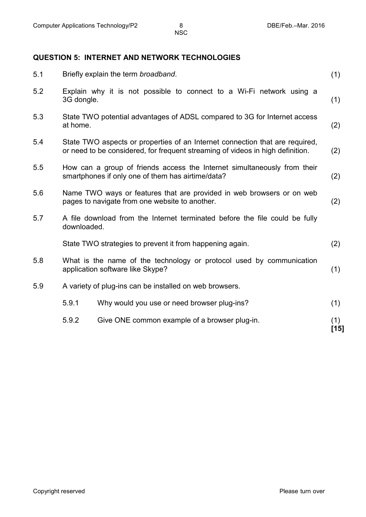#### **QUESTION 5: INTERNET AND NETWORK TECHNOLOGIES**

| 5.1 |                                                                                                                         | Briefly explain the term broadband.                                                                                                                            | (1)           |
|-----|-------------------------------------------------------------------------------------------------------------------------|----------------------------------------------------------------------------------------------------------------------------------------------------------------|---------------|
| 5.2 | 3G dongle.                                                                                                              | Explain why it is not possible to connect to a Wi-Fi network using a                                                                                           | (1)           |
| 5.3 | State TWO potential advantages of ADSL compared to 3G for Internet access<br>at home.                                   |                                                                                                                                                                |               |
| 5.4 |                                                                                                                         | State TWO aspects or properties of an Internet connection that are required,<br>or need to be considered, for frequent streaming of videos in high definition. | (2)           |
| 5.5 |                                                                                                                         | How can a group of friends access the Internet simultaneously from their<br>smartphones if only one of them has airtime/data?                                  | (2)           |
| 5.6 | Name TWO ways or features that are provided in web browsers or on web<br>pages to navigate from one website to another. |                                                                                                                                                                | (2)           |
| 5.7 | A file download from the Internet terminated before the file could be fully<br>downloaded.                              |                                                                                                                                                                |               |
|     |                                                                                                                         | State TWO strategies to prevent it from happening again.                                                                                                       | (2)           |
| 5.8 | What is the name of the technology or protocol used by communication<br>application software like Skype?                |                                                                                                                                                                | (1)           |
| 5.9 |                                                                                                                         | A variety of plug-ins can be installed on web browsers.                                                                                                        |               |
|     | 5.9.1                                                                                                                   | Why would you use or need browser plug-ins?                                                                                                                    | (1)           |
|     | 5.9.2                                                                                                                   | Give ONE common example of a browser plug-in.                                                                                                                  | (1)<br>$[15]$ |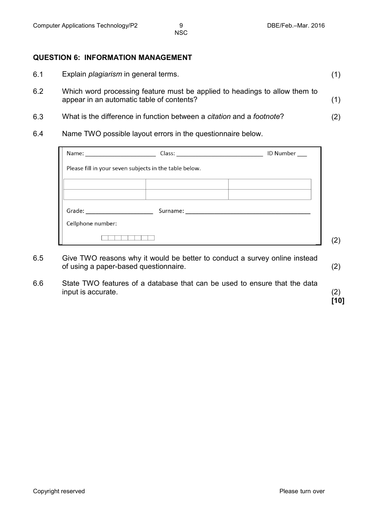#### **QUESTION 6: INFORMATION MANAGEMENT**

| 6.1              | Explain <i>plagiarism</i> in general terms.                                                                                                                                                                                      |     |
|------------------|----------------------------------------------------------------------------------------------------------------------------------------------------------------------------------------------------------------------------------|-----|
| 6.2              | Which word processing feature must be applied to headings to allow them to<br>appear in an automatic table of contents?                                                                                                          | (1) |
| 6.3              | What is the difference in function between a citation and a footnote?                                                                                                                                                            | (2) |
| $\sim$ $\lambda$ | Also as $\pi$ and $\cap$ is a set to be the second of the second term of the second term of the second second second second second second second second second second second second second second second second second second se |     |

6.4 Name TWO possible layout errors in the questionnaire below.

| Name: 2008 2010 2021 2022 2023 2024 2022 2022 2023 2024 2022 2023 2024 2022 2023 2024 2022 2023 2024 2022 2023 |                                                        | ID Number |
|----------------------------------------------------------------------------------------------------------------|--------------------------------------------------------|-----------|
|                                                                                                                | Please fill in your seven subjects in the table below. |           |
|                                                                                                                |                                                        |           |
| Grade: <u>www.community.com</u>                                                                                |                                                        |           |
| Cellphone number:                                                                                              |                                                        |           |
|                                                                                                                |                                                        |           |

- 6.5 Give TWO reasons why it would be better to conduct a survey online instead of using a paper-based questionnaire. (2)
- 6.6 State TWO features of a database that can be used to ensure that the data input is accurate. (2)

**[10]**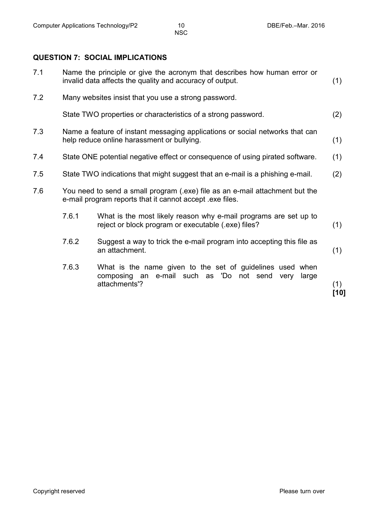#### **QUESTION 7: SOCIAL IMPLICATIONS**

| 7.1 |                                                                                                                                          | Name the principle or give the acronym that describes how human error or<br>invalid data affects the quality and accuracy of output.    | (1)         |
|-----|------------------------------------------------------------------------------------------------------------------------------------------|-----------------------------------------------------------------------------------------------------------------------------------------|-------------|
| 7.2 |                                                                                                                                          | Many websites insist that you use a strong password.                                                                                    |             |
|     |                                                                                                                                          | State TWO properties or characteristics of a strong password.                                                                           | (2)         |
| 7.3 | Name a feature of instant messaging applications or social networks that can<br>help reduce online harassment or bullying.               |                                                                                                                                         |             |
| 7.4 |                                                                                                                                          | State ONE potential negative effect or consequence of using pirated software.                                                           | (1)         |
| 7.5 |                                                                                                                                          | State TWO indications that might suggest that an e-mail is a phishing e-mail.                                                           | (2)         |
| 7.6 | You need to send a small program (.exe) file as an e-mail attachment but the<br>e-mail program reports that it cannot accept lexe files. |                                                                                                                                         |             |
|     | 7.6.1                                                                                                                                    | What is the most likely reason why e-mail programs are set up to<br>reject or block program or executable (.exe) files?                 | (1)         |
|     | 7.6.2                                                                                                                                    | Suggest a way to trick the e-mail program into accepting this file as<br>an attachment.                                                 | (1)         |
|     | 7.6.3                                                                                                                                    | What is the name given to the set of guidelines used when<br>composing an e-mail such as 'Do not send<br>large<br>very<br>attachments'? | (1)<br>[10] |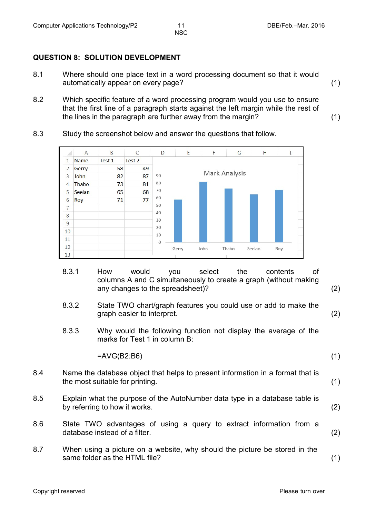#### **QUESTION 8: SOLUTION DEVELOPMENT**

- 8.1 Where should one place text in a word processing document so that it would automatically appear on every page? (1)
- 8.2 Which specific feature of a word processing program would you use to ensure that the first line of a paragraph starts against the left margin while the rest of the lines in the paragraph are further away from the margin? (1)
- 8.3 Study the screenshot below and answer the questions that follow.



- 8.3.1 How would you select the contents of columns A and C simultaneously to create a graph (without making any changes to the spreadsheet)? (2)
- 8.3.2 State TWO chart/graph features you could use or add to make the graph easier to interpret. (2)
- 8.3.3 Why would the following function not display the average of the marks for Test 1 in column B:

=AVG(B2:B6) (1)

- 
- 8.4 Name the database object that helps to present information in a format that is the most suitable for printing. (1)
- 8.5 Explain what the purpose of the AutoNumber data type in a database table is by referring to how it works. (2)
- 8.6 State TWO advantages of using a query to extract information from a database instead of a filter. (2)
- 8.7 When using a picture on a website, why should the picture be stored in the same folder as the HTML file? (1)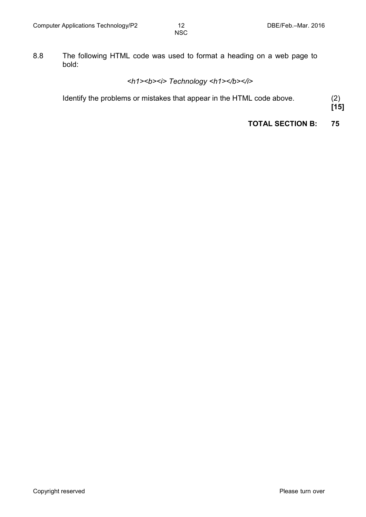8.8 The following HTML code was used to format a heading on a web page to bold:

### *<h1><b><i> Technology <h1></b></i>*

Identify the problems or mistakes that appear in the HTML code above. (2)

**[15]**

**TOTAL SECTION B: 75**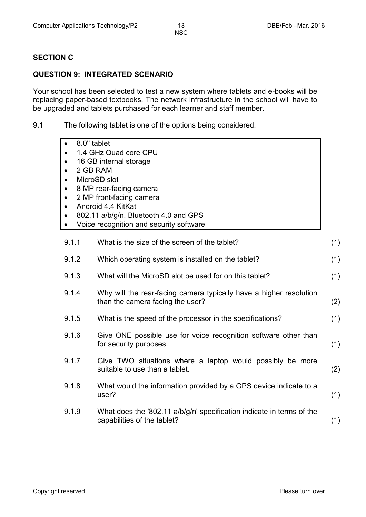#### **SECTION C**

#### **QUESTION 9: INTEGRATED SCENARIO**

Your school has been selected to test a new system where tablets and e-books will be replacing paper-based textbooks. The network infrastructure in the school will have to be upgraded and tablets purchased for each learner and staff member.

9.1 The following tablet is one of the options being considered:

| 8.0" tablet                             |
|-----------------------------------------|
| 1.4 GHz Quad core CPU                   |
| 16 GB internal storage                  |
| 2 GB RAM                                |
| MicroSD slot                            |
| 8 MP rear-facing camera                 |
| 2 MP front-facing camera                |
| Android 4.4 KitKat                      |
| 802.11 a/b/g/n, Bluetooth 4.0 and GPS   |
| Voice recognition and security software |

| 9.1.1 | What is the size of the screen of the tablet?                                                          | (1) |
|-------|--------------------------------------------------------------------------------------------------------|-----|
| 9.1.2 | Which operating system is installed on the tablet?                                                     | (1) |
| 9.1.3 | What will the MicroSD slot be used for on this tablet?                                                 | (1) |
| 9.1.4 | Why will the rear-facing camera typically have a higher resolution<br>than the camera facing the user? | (2) |
| 9.1.5 | What is the speed of the processor in the specifications?                                              | (1) |
| 9.1.6 | Give ONE possible use for voice recognition software other than<br>for security purposes.              | (1) |
| 9.1.7 | Give TWO situations where a laptop would possibly be more<br>suitable to use than a tablet.            | (2) |
| 9.1.8 | What would the information provided by a GPS device indicate to a<br>user?                             | (1) |
| 9.1.9 | What does the '802.11 a/b/g/n' specification indicate in terms of the<br>capabilities of the tablet?   | (1) |
|       |                                                                                                        |     |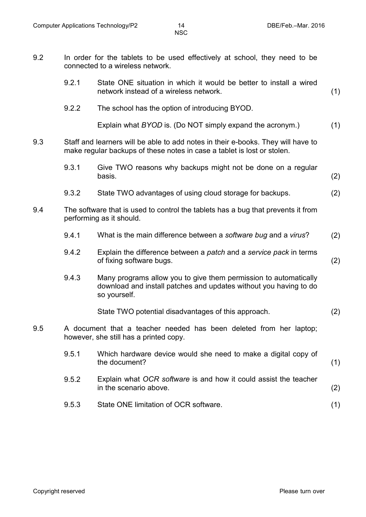- 9.2 In order for the tablets to be used effectively at school, they need to be connected to a wireless network. 9.2.1 State ONE situation in which it would be better to install a wired network instead of a wireless network. (1)
	- 9.2.2 The school has the option of introducing BYOD.

Explain what *BYOD* is. (Do NOT simply expand the acronym.) (1)

- 9.3 Staff and learners will be able to add notes in their e-books. They will have to make regular backups of these notes in case a tablet is lost or stolen.
	- 9.3.1 Give TWO reasons why backups might not be done on a regular  $\blacksquare$ basis. (2)
	- 9.3.2 State TWO advantages of using cloud storage for backups. (2)
- 9.4 The software that is used to control the tablets has a bug that prevents it from performing as it should.
	- 9.4.1 What is the main difference between a *software bug* and a *virus*? (2)
	- 9.4.2 Explain the difference between a *patch* and a *service pack* in terms of fixing software bugs. (2)
	- 9.4.3 Many programs allow you to give them permission to automatically download and install patches and updates without you having to do so yourself.

State TWO potential disadvantages of this approach. (2)

- 9.5 A document that a teacher needed has been deleted from her laptop; however, she still has a printed copy.
	- 9.5.1 Which hardware device would she need to make a digital copy of the document? (1) 9.5.2 Explain what *OCR software* is and how it could assist the teacher in the scenario above. (2)
	- 9.5.3 State ONE limitation of OCR software. (1)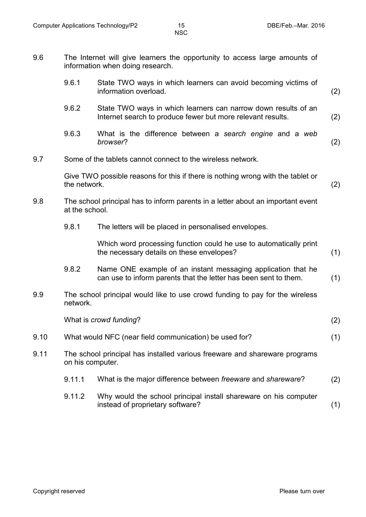9.6 The Internet will give learners the opportunity to access large amounts of information when doing research.

|      | 9.6.1                                                                                             | State TWO ways in which learners can avoid becoming victims of<br>information overload.                                          |     |  |  |  |
|------|---------------------------------------------------------------------------------------------------|----------------------------------------------------------------------------------------------------------------------------------|-----|--|--|--|
|      | 9.6.2                                                                                             | State TWO ways in which learners can narrow down results of an<br>Internet search to produce fewer but more relevant results.    | (2) |  |  |  |
|      | 9.6.3                                                                                             | What is the difference between a search engine and a web<br>browser?                                                             | (2) |  |  |  |
| 9.7  | Some of the tablets cannot connect to the wireless network.                                       |                                                                                                                                  |     |  |  |  |
|      | the network.                                                                                      | Give TWO possible reasons for this if there is nothing wrong with the tablet or                                                  | (2) |  |  |  |
| 9.8  | The school principal has to inform parents in a letter about an important event<br>at the school. |                                                                                                                                  |     |  |  |  |
|      | 9.8.1                                                                                             | The letters will be placed in personalised envelopes.                                                                            |     |  |  |  |
|      |                                                                                                   | Which word processing function could he use to automatically print<br>the necessary details on these envelopes?                  | (1) |  |  |  |
|      | 9.8.2                                                                                             | Name ONE example of an instant messaging application that he<br>can use to inform parents that the letter has been sent to them. | (1) |  |  |  |
| 9.9  | The school principal would like to use crowd funding to pay for the wireless<br>network.          |                                                                                                                                  |     |  |  |  |
|      |                                                                                                   | What is crowd funding?                                                                                                           | (2) |  |  |  |
| 9.10 |                                                                                                   | What would NFC (near field communication) be used for?                                                                           | (1) |  |  |  |
| 9.11 | The school principal has installed various freeware and shareware programs<br>on his computer.    |                                                                                                                                  |     |  |  |  |
|      | 9.11.1                                                                                            | What is the major difference between freeware and shareware?                                                                     | (2) |  |  |  |
|      | 9.11.2                                                                                            | Why would the school principal install shareware on his computer                                                                 |     |  |  |  |

instead of proprietary software? (1)